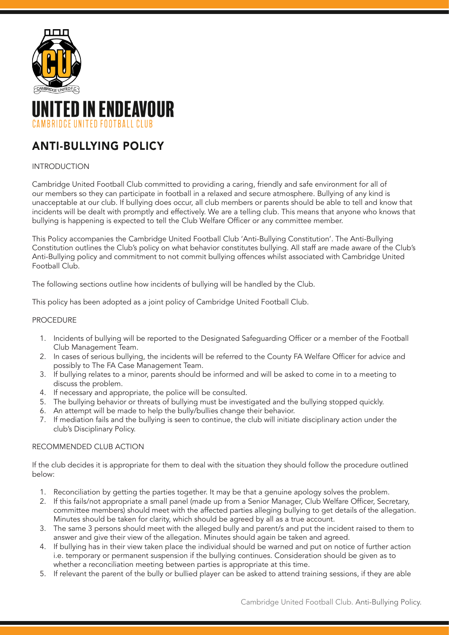

# TED IN ENDEAVOUR **CAMBRIDGE UNITED FOOTBALL CLUB**

## ANTI-BULLYING POLICY

### INTRODUCTION

Cambridge United Football Club committed to providing a caring, friendly and safe environment for all of our members so they can participate in football in a relaxed and secure atmosphere. Bullying of any kind is unacceptable at our club. If bullying does occur, all club members or parents should be able to tell and know that incidents will be dealt with promptly and effectively. We are a telling club. This means that anyone who knows that bullying is happening is expected to tell the Club Welfare Officer or any committee member.

This Policy accompanies the Cambridge United Football Club 'Anti-Bullying Constitution'. The Anti-Bullying Constitution outlines the Club's policy on what behavior constitutes bullying. All staff are made aware of the Club's Anti-Bullying policy and commitment to not commit bullying offences whilst associated with Cambridge United Football Club.

The following sections outline how incidents of bullying will be handled by the Club.

This policy has been adopted as a joint policy of Cambridge United Football Club.

#### **PROCEDURE**

- 1. Incidents of bullying will be reported to the Designated Safeguarding Officer or a member of the Football Club Management Team.
- 2. In cases of serious bullying, the incidents will be referred to the County FA Welfare Officer for advice and possibly to The FA Case Management Team.
- 3. If bullying relates to a minor, parents should be informed and will be asked to come in to a meeting to discuss the problem.
- 4. If necessary and appropriate, the police will be consulted.
- 5. The bullying behavior or threats of bullying must be investigated and the bullying stopped quickly.
- 6. An attempt will be made to help the bully/bullies change their behavior.
- 7. If mediation fails and the bullying is seen to continue, the club will initiate disciplinary action under the club's Disciplinary Policy.

#### RECOMMENDED CLUB ACTION

If the club decides it is appropriate for them to deal with the situation they should follow the procedure outlined below:

- 1. Reconciliation by getting the parties together. It may be that a genuine apology solves the problem.
- 2. If this fails/not appropriate a small panel (made up from a Senior Manager, Club Welfare Officer, Secretary, committee members) should meet with the affected parties alleging bullying to get details of the allegation. Minutes should be taken for clarity, which should be agreed by all as a true account.
- 3. The same 3 persons should meet with the alleged bully and parent/s and put the incident raised to them to answer and give their view of the allegation. Minutes should again be taken and agreed.
- 4. If bullying has in their view taken place the individual should be warned and put on notice of further action i.e. temporary or permanent suspension if the bullying continues. Consideration should be given as to whether a reconciliation meeting between parties is appropriate at this time.
- 5. If relevant the parent of the bully or bullied player can be asked to attend training sessions, if they are able